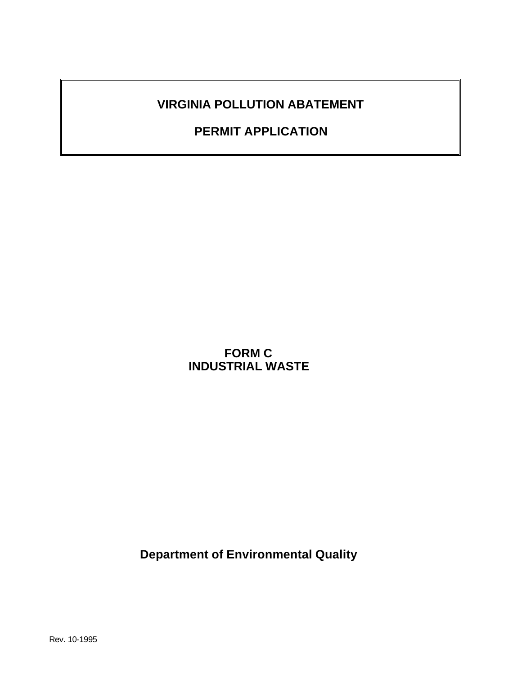# **VIRGINIA POLLUTION ABATEMENT**

# **PERMIT APPLICATION**

# **FORM C INDUSTRIAL WASTE**

**Department of Environmental Quality**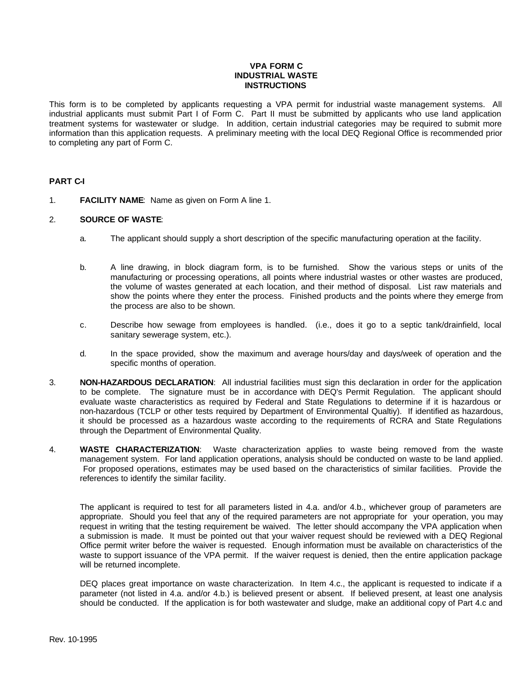#### **VPA FORM C INDUSTRIAL WASTE INSTRUCTIONS**

This form is to be completed by applicants requesting a VPA permit for industrial waste management systems. All industrial applicants must submit Part I of Form C. Part II must be submitted by applicants who use land application treatment systems for wastewater or sludge. In addition, certain industrial categories may be required to submit more information than this application requests. A preliminary meeting with the local DEQ Regional Office is recommended prior to completing any part of Form C.

### **PART C-I**

1. **FACILITY NAME**: Name as given on Form A line 1.

#### 2. **SOURCE OF WASTE**:

- a. The applicant should supply a short description of the specific manufacturing operation at the facility.
- b. A line drawing, in block diagram form, is to be furnished. Show the various steps or units of the manufacturing or processing operations, all points where industrial wastes or other wastes are produced, the volume of wastes generated at each location, and their method of disposal. List raw materials and show the points where they enter the process. Finished products and the points where they emerge from the process are also to be shown.
- c. Describe how sewage from employees is handled. (i.e., does it go to a septic tank/drainfield, local sanitary sewerage system, etc.).
- d. In the space provided, show the maximum and average hours/day and days/week of operation and the specific months of operation.
- 3. **NON-HAZARDOUS DECLARATION**: All industrial facilities must sign this declaration in order for the application to be complete. The signature must be in accordance with DEQ's Permit Regulation. The applicant should evaluate waste characteristics as required by Federal and State Regulations to determine if it is hazardous or non-hazardous (TCLP or other tests required by Department of Environmental Qualtiy). If identified as hazardous, it should be processed as a hazardous waste according to the requirements of RCRA and State Regulations through the Department of Environmental Quality.
- 4. **WASTE CHARACTERIZATION**: Waste characterization applies to waste being removed from the waste management system. For land application operations, analysis should be conducted on waste to be land applied. For proposed operations, estimates may be used based on the characteristics of similar facilities. Provide the references to identify the similar facility.

The applicant is required to test for all parameters listed in 4.a. and/or 4.b., whichever group of parameters are appropriate. Should you feel that any of the required parameters are not appropriate for your operation, you may request in writing that the testing requirement be waived. The letter should accompany the VPA application when a submission is made. It must be pointed out that your waiver request should be reviewed with a DEQ Regional Office permit writer before the waiver is requested. Enough information must be available on characteristics of the waste to support issuance of the VPA permit. If the waiver request is denied, then the entire application package will be returned incomplete.

DEQ places great importance on waste characterization. In Item 4.c., the applicant is requested to indicate if a parameter (not listed in 4.a. and/or 4.b.) is believed present or absent. If believed present, at least one analysis should be conducted. If the application is for both wastewater and sludge, make an additional copy of Part 4.c and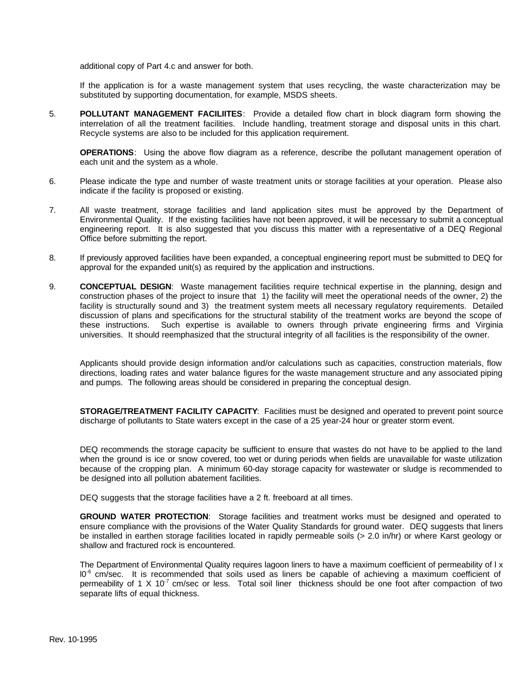additional copy of Part 4.c and answer for both.

If the application is for a waste management system that uses recycling, the waste characterization may be substituted by supporting documentation, for example, MSDS sheets.

5. **POLLUTANT MANAGEMENT FACILIITES**: Provide a detailed flow chart in block diagram form showing the interrelation of all the treatment facilities. Include handling, treatment storage and disposal units in this chart. Recycle systems are also to be included for this application requirement.

**OPERATIONS**: Using the above flow diagram as a reference, describe the pollutant management operation of each unit and the system as a whole.

- 6. Please indicate the type and number of waste treatment units or storage facilities at your operation. Please also indicate if the facility is proposed or existing.
- 7. All waste treatment, storage facilities and land application sites must be approved by the Department of Environmental Quality. If the existing facilities have not been approved, it will be necessary to submit a conceptual engineering report. It is also suggested that you discuss this matter with a representative of a DEQ Regional Office before submitting the report.
- 8. If previously approved facilities have been expanded, a conceptual engineering report must be submitted to DEQ for approval for the expanded unit(s) as required by the application and instructions.
- 9. **CONCEPTUAL DESIGN**: Waste management facilities require technical expertise in the planning, design and construction phases of the project to insure that 1) the facility will meet the operational needs of the owner, 2) the facility is structurally sound and 3) the treatment system meets all necessary regulatory requirements. Detailed discussion of plans and specifications for the structural stability of the treatment works are beyond the scope of these instructions. Such expertise is available to owners through private engineering firms and Virginia universities. It should reemphasized that the structural integrity of all facilities is the responsibility of the owner.

Applicants should provide design information and/or calculations such as capacities, construction materials, flow directions, loading rates and water balance figures for the waste management structure and any associated piping and pumps. The following areas should be considered in preparing the conceptual design.

**STORAGE/TREATMENT FACILITY CAPACITY**: Facilities must be designed and operated to prevent point source discharge of pollutants to State waters except in the case of a 25 year-24 hour or greater storm event.

DEQ recommends the storage capacity be sufficient to ensure that wastes do not have to be applied to the land when the ground is ice or snow covered, too wet or during periods when fields are unavailable for waste utilization because of the cropping plan. A minimum 60-day storage capacity for wastewater or sludge is recommended to be designed into all pollution abatement facilities.

DEQ suggests that the storage facilities have a 2 ft. freeboard at all times.

**GROUND WATER PROTECTION**: Storage facilities and treatment works must be designed and operated to ensure compliance with the provisions of the Water Quality Standards for ground water. DEQ suggests that liners be installed in earthen storage facilities located in rapidly permeable soils (> 2.0 in/hr) or where Karst geology or shallow and fractured rock is encountered.

The Department of Environmental Quality requires lagoon liners to have a maximum coefficient of permeability of l x l0<sup>-6</sup> cm/sec. It is recommended that soils used as liners be capable of achieving a maximum coefficient of permeability of 1 X 10<sup>-7</sup> cm/sec or less. Total soil liner thickness should be one foot after compaction of two separate lifts of equal thickness.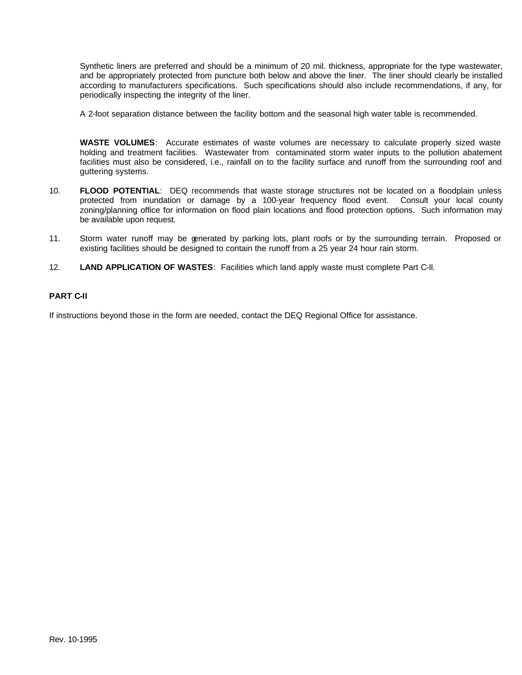Synthetic liners are preferred and should be a minimum of 20 mil. thickness, appropriate for the type wastewater, and be appropriately protected from puncture both below and above the liner. The liner should clearly be installed according to manufacturers specifications. Such specifications should also include recommendations, if any, for periodically inspecting the integrity of the liner.

A 2-foot separation distance between the facility bottom and the seasonal high water table is recommended.

**WASTE VOLUMES**: Accurate estimates of waste volumes are necessary to calculate properly sized waste holding and treatment facilities. Wastewater from contaminated storm water inputs to the pollution abatement facilities must also be considered, i.e., rainfall on to the facility surface and runoff from the surrounding roof and guttering systems.

- 10. **FLOOD POTENTIAL**: DEQ recommends that waste storage structures not be located on a floodplain unless protected from inundation or damage by a 100-year frequency flood event. Consult your local county zoning/planning office for information on flood plain locations and flood protection options. Such information may be available upon request.
- 11. Storm water runoff may be generated by parking lots, plant roofs or by the surrounding terrain. Proposed or existing facilities should be designed to contain the runoff from a 25 year 24 hour rain storm.
- 12. **LAND APPLICATION OF WASTES**: Facilities which land apply waste must complete Part C-II.

### **PART C-II**

If instructions beyond those in the form are needed, contact the DEQ Regional Office for assistance.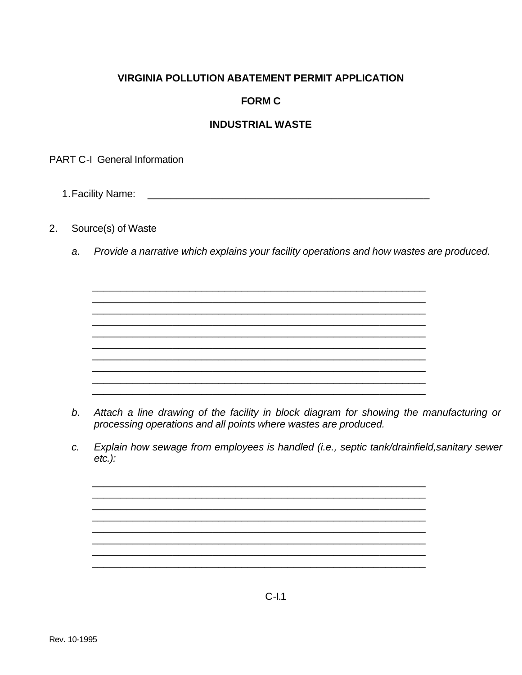# **VIRGINIA POLLUTION ABATEMENT PERMIT APPLICATION**

# **FORM C**

# **INDUSTRIAL WASTE**

**PART C-I General Information** 

- $2.$ Source(s) of Waste
	- Provide a narrative which explains your facility operations and how wastes are produced.  $a<sub>r</sub>$

b. Attach a line drawing of the facility in block diagram for showing the manufacturing or processing operations and all points where wastes are produced.

Explain how sewage from employees is handled (i.e., septic tank/drainfield, sanitary sewer C.  $etc.$ ):

 $C-I.1$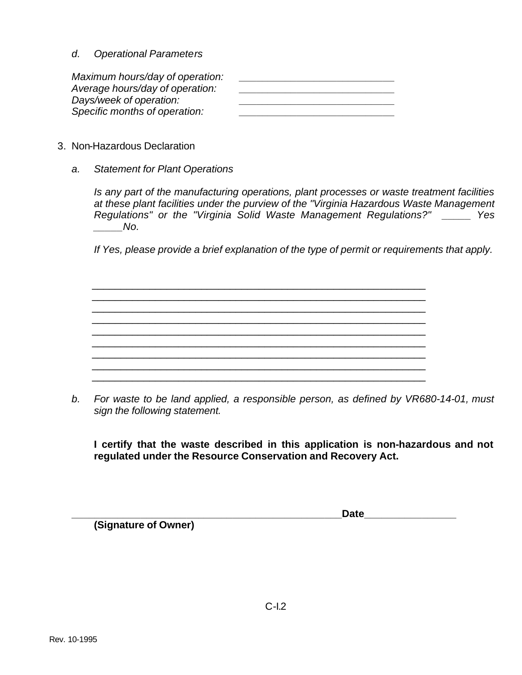*d. Operational Parameters*

| Maximum hours/day of operation: |  |
|---------------------------------|--|
| Average hours/day of operation: |  |
| Days/week of operation:         |  |
| Specific months of operation:   |  |

- 3. Non-Hazardous Declaration
	- *a. Statement for Plant Operations*

*Is any part of the manufacturing operations, plant processes or waste treatment facilities at these plant facilities under the purview of the "Virginia Hazardous Waste Management Regulations" or the "Virginia Solid Waste Management Regulations?" \_\_\_\_\_ Yes \_\_\_\_\_No.*

*If Yes, please provide a brief explanation of the type of permit or requirements that apply.*

\_\_\_\_\_\_\_\_\_\_\_\_\_\_\_\_\_\_\_\_\_\_\_\_\_\_\_\_\_\_\_\_\_\_\_\_\_\_\_\_\_\_\_\_\_\_\_\_\_\_\_\_\_\_\_\_\_\_ \_\_\_\_\_\_\_\_\_\_\_\_\_\_\_\_\_\_\_\_\_\_\_\_\_\_\_\_\_\_\_\_\_\_\_\_\_\_\_\_\_\_\_\_\_\_\_\_\_\_\_\_\_\_\_\_\_\_ \_\_\_\_\_\_\_\_\_\_\_\_\_\_\_\_\_\_\_\_\_\_\_\_\_\_\_\_\_\_\_\_\_\_\_\_\_\_\_\_\_\_\_\_\_\_\_\_\_\_\_\_\_\_\_\_\_\_ \_\_\_\_\_\_\_\_\_\_\_\_\_\_\_\_\_\_\_\_\_\_\_\_\_\_\_\_\_\_\_\_\_\_\_\_\_\_\_\_\_\_\_\_\_\_\_\_\_\_\_\_\_\_\_\_\_\_ \_\_\_\_\_\_\_\_\_\_\_\_\_\_\_\_\_\_\_\_\_\_\_\_\_\_\_\_\_\_\_\_\_\_\_\_\_\_\_\_\_\_\_\_\_\_\_\_\_\_\_\_\_\_\_\_\_\_ \_\_\_\_\_\_\_\_\_\_\_\_\_\_\_\_\_\_\_\_\_\_\_\_\_\_\_\_\_\_\_\_\_\_\_\_\_\_\_\_\_\_\_\_\_\_\_\_\_\_\_\_\_\_\_\_\_\_ \_\_\_\_\_\_\_\_\_\_\_\_\_\_\_\_\_\_\_\_\_\_\_\_\_\_\_\_\_\_\_\_\_\_\_\_\_\_\_\_\_\_\_\_\_\_\_\_\_\_\_\_\_\_\_\_\_\_ \_\_\_\_\_\_\_\_\_\_\_\_\_\_\_\_\_\_\_\_\_\_\_\_\_\_\_\_\_\_\_\_\_\_\_\_\_\_\_\_\_\_\_\_\_\_\_\_\_\_\_\_\_\_\_\_\_\_ \_\_\_\_\_\_\_\_\_\_\_\_\_\_\_\_\_\_\_\_\_\_\_\_\_\_\_\_\_\_\_\_\_\_\_\_\_\_\_\_\_\_\_\_\_\_\_\_\_\_\_\_\_\_\_\_\_\_

*b. For waste to be land applied, a responsible person, as defined by VR680-14-01, must sign the following statement.*

**I certify that the waste described in this application is non-hazardous and not regulated under the Resource Conservation and Recovery Act.**

**\_\_\_\_\_\_\_\_\_\_\_\_\_\_\_\_\_\_\_\_\_\_\_\_\_\_\_\_\_\_\_\_\_\_\_\_\_\_\_\_\_\_\_\_\_\_\_Date\_\_\_\_\_\_\_\_\_\_\_\_\_\_\_\_**

**(Signature of Owner)**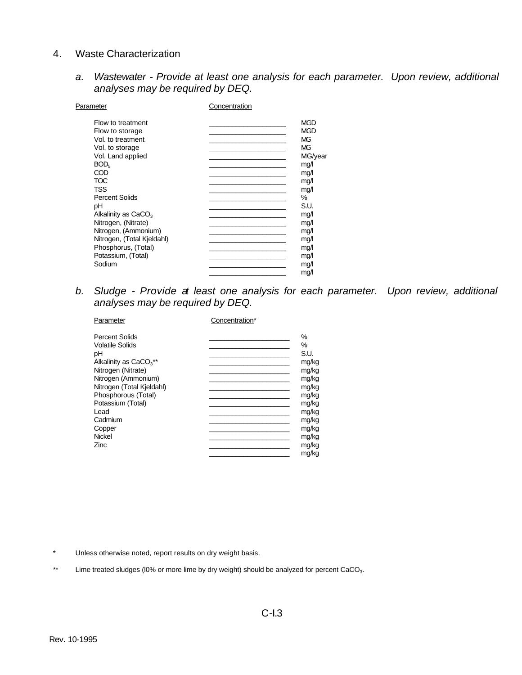## 4. Waste Characterization

*a. Wastewater - Provide at least one analysis for each parameter. Upon review, additional analyses may be required by DEQ.*

| Parameter                                                                                                                                                                                                                                                                                                                                                   | Concentration |                                                                                                                                                                     |
|-------------------------------------------------------------------------------------------------------------------------------------------------------------------------------------------------------------------------------------------------------------------------------------------------------------------------------------------------------------|---------------|---------------------------------------------------------------------------------------------------------------------------------------------------------------------|
| Flow to treatment<br>Flow to storage<br>Vol. to treatment<br>Vol. to storage<br>Vol. Land applied<br>BOD <sub>5</sub><br><b>COD</b><br><b>TOC</b><br><b>TSS</b><br><b>Percent Solids</b><br>рH<br>Alkalinity as $CaCO3$<br>Nitrogen, (Nitrate)<br>Nitrogen, (Ammonium)<br>Nitrogen, (Total Kjeldahl)<br>Phosphorus, (Total)<br>Potassium, (Total)<br>Sodium |               | <b>MGD</b><br><b>MGD</b><br>MG<br><b>MG</b><br>MG/year<br>mg/l<br>mg/l<br>mq/1<br>mg/l<br>%<br>S.U.<br>mg/l<br>mq/1<br>mg/l<br>mg/l<br>mg/l<br>mg/l<br>mg/l<br>mg/l |
|                                                                                                                                                                                                                                                                                                                                                             |               |                                                                                                                                                                     |

*b. Sludge - Provide at least one analysis for each parameter. Upon review, additional analyses may be required by DEQ.*

| Parameter                                                                                                                                                                                                                                             | Concentration*                                                                                                             |
|-------------------------------------------------------------------------------------------------------------------------------------------------------------------------------------------------------------------------------------------------------|----------------------------------------------------------------------------------------------------------------------------|
| Percent Solids<br><b>Volatile Solids</b><br>pH<br>Alkalinity as $CaCO3**$<br>Nitrogen (Nitrate)<br>Nitrogen (Ammonium)<br>Nitrogen (Total Kjeldahl)<br>Phosphorous (Total)<br>Potassium (Total)<br>Lead<br>Cadmium<br>Copper<br><b>Nickel</b><br>Zinc | %<br>%<br>S.U.<br>mg/kg<br>mg/kg<br>mg/kg<br>mg/kg<br>mg/kg<br>mg/kg<br>mg/kg<br>mg/kg<br>mg/kg<br>mg/kg<br>mg/kg<br>mg/kg |
|                                                                                                                                                                                                                                                       |                                                                                                                            |

\* Unless otherwise noted, report results on dry weight basis.

\*\* Lime treated sludges (I0% or more lime by dry weight) should be analyzed for percent CaCO<sub>3</sub>.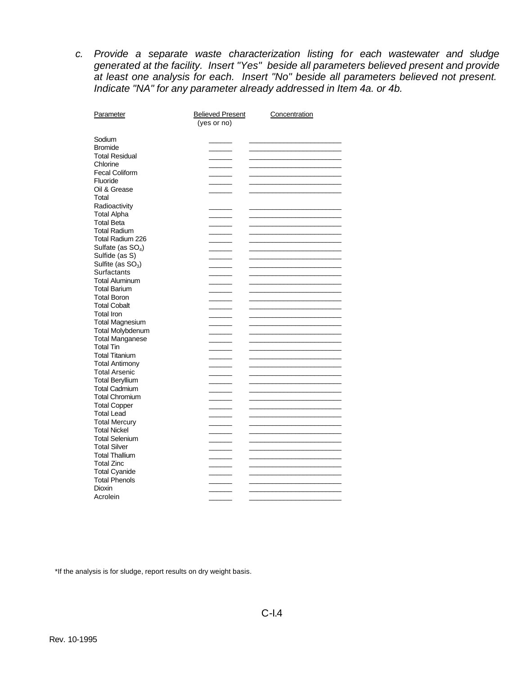*c. Provide a separate waste characterization listing for each wastewater and sludge generated at the facility. Insert "Yes" beside all parameters believed present and provide at least one analysis for each. Insert "No" beside all parameters believed not present. Indicate "NA" for any parameter already addressed in Item 4a. or 4b.*

| Parameter                     | <b>Believed Present</b><br>(yes or no) | Concentration |
|-------------------------------|----------------------------------------|---------------|
| Sodium                        |                                        |               |
| <b>Bromide</b>                |                                        |               |
| <b>Total Residual</b>         |                                        |               |
| Chlorine                      |                                        |               |
| <b>Fecal Coliform</b>         |                                        |               |
| Fluoride                      |                                        |               |
| Oil & Grease                  |                                        |               |
| Total                         |                                        |               |
| Radioactivity                 |                                        |               |
| <b>Total Alpha</b>            |                                        |               |
| <b>Total Beta</b>             |                                        |               |
| <b>Total Radium</b>           |                                        |               |
| Total Radium 226              |                                        |               |
| Sulfate (as SO <sub>4</sub> ) |                                        |               |
| Sulfide (as S)                |                                        |               |
| Sulfite (as $SO3$ )           |                                        |               |
| Surfactants                   |                                        |               |
| <b>Total Aluminum</b>         |                                        |               |
| <b>Total Barium</b>           |                                        |               |
| <b>Total Boron</b>            |                                        |               |
| <b>Total Cobalt</b>           |                                        |               |
| <b>Total Iron</b>             |                                        |               |
| <b>Total Magnesium</b>        |                                        |               |
| <b>Total Molybdenum</b>       |                                        |               |
| <b>Total Manganese</b>        |                                        |               |
| <b>Total Tin</b>              |                                        |               |
| <b>Total Titanium</b>         |                                        |               |
| <b>Total Antimony</b>         |                                        |               |
| <b>Total Arsenic</b>          |                                        |               |
| <b>Total Beryllium</b>        |                                        |               |
| <b>Total Cadmium</b>          |                                        |               |
| <b>Total Chromium</b>         |                                        |               |
| <b>Total Copper</b>           |                                        |               |
| <b>Total Lead</b>             |                                        |               |
| <b>Total Mercury</b>          |                                        |               |
| <b>Total Nickel</b>           |                                        |               |
| <b>Total Selenium</b>         |                                        |               |
| <b>Total Silver</b>           |                                        |               |
| <b>Total Thallium</b>         |                                        |               |
| <b>Total Zinc</b>             |                                        |               |
| <b>Total Cyanide</b>          |                                        |               |
| <b>Total Phenols</b>          |                                        |               |
| Dioxin                        |                                        |               |
| Acrolein                      |                                        |               |

\*If the analysis is for sludge, report results on dry weight basis.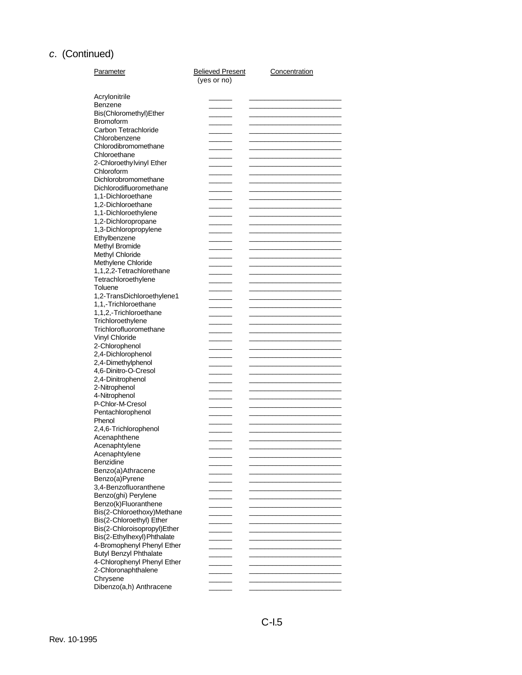# *c*. (Continued)

| Parameter                     | <b>Believed Present</b><br>(yes or no) | Concentration |
|-------------------------------|----------------------------------------|---------------|
| Acrylonitrile                 |                                        |               |
| <b>Benzene</b>                |                                        |               |
| Bis(Chloromethyl)Ether        |                                        |               |
| <b>Bromoform</b>              |                                        |               |
| Carbon Tetrachloride          |                                        |               |
| Chlorobenzene                 |                                        |               |
|                               |                                        |               |
| Chlorodibromomethane          |                                        |               |
| Chloroethane                  |                                        |               |
| 2-Chloroethy lvinyl Ether     |                                        |               |
| Chloroform                    |                                        |               |
| Dichlorobromomethane          |                                        |               |
| Dichlorodifluoromethane       |                                        |               |
| 1,1-Dichloroethane            |                                        |               |
| 1,2-Dichloroethane            |                                        |               |
| 1,1-Dichloroethylene          |                                        |               |
| 1,2-Dichloropropane           |                                        |               |
| 1,3-Dichloropropylene         |                                        |               |
| Ethylbenzene                  |                                        |               |
| Methyl Bromide                |                                        |               |
| Methyl Chloride               |                                        |               |
| Methylene Chloride            |                                        |               |
| 1,1,2,2-Tetrachlorethane      |                                        |               |
|                               |                                        |               |
| Tetrachloroethylene           |                                        |               |
| Toluene                       |                                        |               |
| 1,2-TransDichloroethylene1    |                                        |               |
| 1,1,-Trichloroethane          |                                        |               |
| 1,1,2,-Trichloroethane        |                                        |               |
| Trichloroethylene             |                                        |               |
| Trichlorofluoromethane        |                                        |               |
| Vinyl Chloride                |                                        |               |
| 2-Chlorophenol                |                                        |               |
| 2,4-Dichlorophenol            |                                        |               |
| 2,4-Dimethylphenol            |                                        |               |
| 4,6-Dinitro-O-Cresol          |                                        |               |
| 2,4-Dinitrophenol             |                                        |               |
| 2-Nitrophenol                 |                                        |               |
| 4-Nitrophenol                 |                                        |               |
| P-Chlor-M-Cresol              |                                        |               |
|                               |                                        |               |
| Pentachlorophenol             |                                        |               |
| Phenol                        |                                        |               |
| 2,4,6-Trichlorophenol         |                                        |               |
| Acenaphthene                  |                                        |               |
| Acenaphtylene                 |                                        |               |
| Acenaphtylene                 |                                        |               |
| Benzidine                     |                                        |               |
| Benzo(a)Athracene             |                                        |               |
| Benzo(a)Pyrene                |                                        |               |
| 3,4-Benzofluoranthene         |                                        |               |
| Benzo(ghi) Perylene           |                                        |               |
| Benzo(k)Fluoranthene          |                                        |               |
| Bis(2-Chloroethoxy)Methane    |                                        |               |
| Bis(2-Chloroethyl) Ether      |                                        |               |
|                               |                                        |               |
| Bis(2-Chloroisopropyl)Ether   |                                        |               |
| Bis(2-Ethylhexyl) Phthalate   |                                        |               |
| 4-Bromophenyl Phenyl Ether    |                                        |               |
| <b>Butyl Benzyl Phthalate</b> |                                        |               |
| 4-Chlorophenyl Phenyl Ether   |                                        |               |
| 2-Chloronaphthalene           |                                        |               |
| Chrysene                      |                                        |               |
| Dibenzo(a,h) Anthracene       |                                        |               |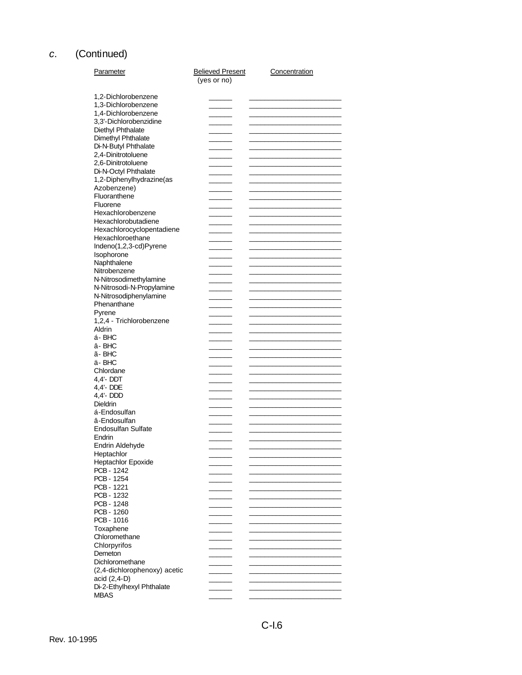#### (Continued) C.

| <b>Parameter</b>                         | <b>Believed Present</b><br>(yes or no) | Concentration |
|------------------------------------------|----------------------------------------|---------------|
|                                          |                                        |               |
| 1,2-Dichlorobenzene                      |                                        |               |
| 1,3-Dichlorobenzene                      |                                        |               |
| 1,4-Dichlorobenzene                      |                                        |               |
| 3,3'-Dichlorobenzidine                   |                                        |               |
| Diethyl Phthalate                        |                                        |               |
| Dimethyl Phthalate                       |                                        |               |
| Di-N-Butyl Phthalate                     |                                        |               |
| 2,4-Dinitrotoluene                       |                                        |               |
| 2,6-Dinitrotoluene                       |                                        |               |
| Di-N-Octyl Phthalate                     |                                        |               |
| 1,2-Diphenylhydrazine(as                 |                                        |               |
| Azobenzene)                              |                                        |               |
| Fluoranthene                             |                                        |               |
| Fluorene                                 |                                        |               |
|                                          |                                        |               |
| Hexachlorobenzene                        |                                        |               |
| Hexachlorobutadiene                      |                                        |               |
| Hexachlorocyclopentadiene                |                                        |               |
| Hexachloroethane                         |                                        |               |
| Indeno(1,2,3-cd)Pyrene                   |                                        |               |
| Isophorone                               |                                        |               |
| Naphthalene                              |                                        |               |
| Nitrobenzene                             |                                        |               |
| N-Nitrosodimethylamine                   |                                        |               |
| N-Nitrosodi-N-Propylamine                |                                        |               |
| N-Nitrosodiphenylamine                   |                                        |               |
| Phenanthane                              |                                        |               |
| Pyrene                                   |                                        |               |
| 1,2,4 - Trichlorobenzene                 |                                        |               |
| Aldrin                                   |                                        |               |
| á - BHC                                  |                                        |               |
|                                          |                                        |               |
| â-BHC                                    |                                        |               |
| ã-BHC                                    |                                        |               |
| ä-BHC                                    |                                        |               |
| Chlordane                                |                                        |               |
| 4,4'-DDT                                 |                                        |               |
| 4,4'- DDE                                |                                        |               |
| 4,4'-DDD                                 |                                        |               |
| Dieldrin                                 |                                        |               |
| á-Endosulfan                             |                                        |               |
| â-Endosulfan                             |                                        |               |
| <b>Endosulfan Sulfate</b>                |                                        |               |
| Endrin                                   |                                        |               |
| Endrin Aldehyde                          |                                        |               |
| Heptachlor                               |                                        |               |
| <b>Heptachlor Epoxide</b>                |                                        |               |
| PCB - 1242                               |                                        |               |
| PCB - 1254                               |                                        |               |
|                                          |                                        |               |
| PCB - 1221                               |                                        |               |
| PCB - 1232                               |                                        |               |
| PCB - 1248                               |                                        |               |
| PCB - 1260                               |                                        |               |
| PCB - 1016                               |                                        |               |
| Toxaphene                                |                                        |               |
| Chloromethane                            |                                        |               |
| Chlorpyrifos                             |                                        |               |
| Demeton                                  |                                        |               |
| Dichloromethane                          |                                        |               |
| (2,4-dichlorophenoxy) acetic             |                                        |               |
| acid $(2,4-D)$                           |                                        |               |
|                                          |                                        |               |
| Di-2-Ethylhexyl Phthalate<br><b>MBAS</b> |                                        |               |
|                                          |                                        |               |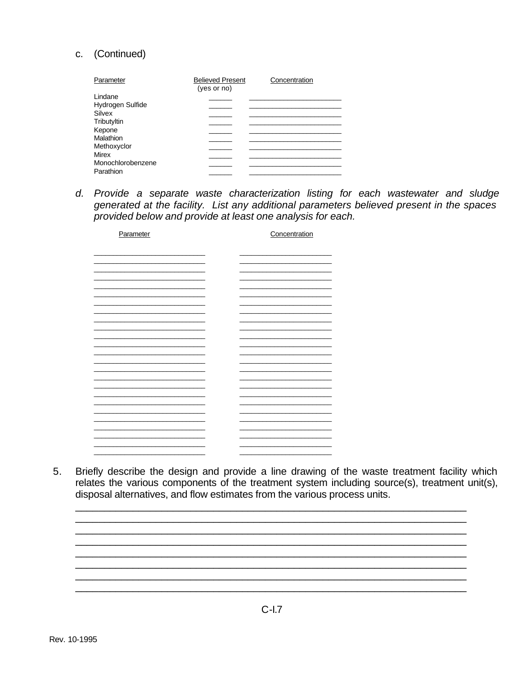## c. (Continued)

| Parameter         | <b>Believed Present</b><br>(yes or no) | Concentration |
|-------------------|----------------------------------------|---------------|
| Lindane           |                                        |               |
| Hydrogen Sulfide  |                                        |               |
| Silvex            |                                        |               |
| Tributyltin       |                                        |               |
| Kepone            |                                        |               |
| Malathion         |                                        |               |
| Methoxyclor       |                                        |               |
| Mirex             |                                        |               |
| Monochlorobenzene |                                        |               |
| Parathion         |                                        |               |

d. Provide a separate waste characterization listing for each wastewater and sludge generated at the facility. List any additional parameters believed present in the spaces provided below and provide at least one analysis for each.

| Parameter | Concentration |
|-----------|---------------|
|           |               |
|           |               |
|           |               |
|           |               |
|           |               |
|           |               |
|           |               |
|           |               |
|           |               |
|           |               |
|           |               |
|           |               |
|           |               |
|           |               |
|           |               |
|           |               |
|           |               |
|           |               |
|           |               |
|           |               |
|           |               |
|           |               |

Briefly describe the design and provide a line drawing of the waste treatment facility which  $5.$ relates the various components of the treatment system including source(s), treatment unit(s), disposal alternatives, and flow estimates from the various process units.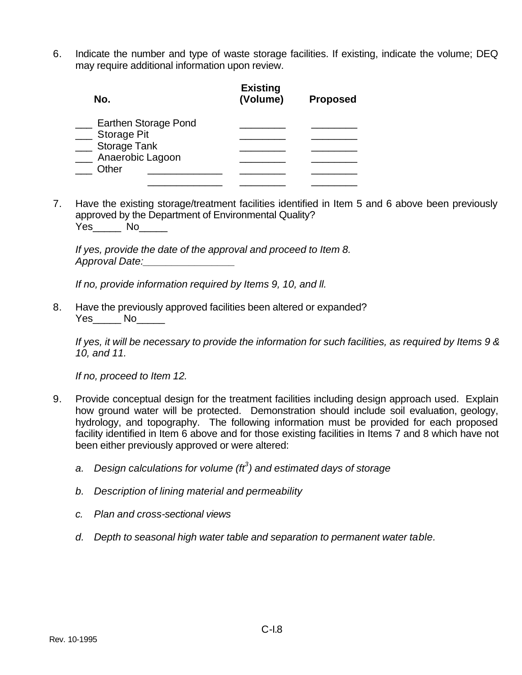6. Indicate the number and type of waste storage facilities. If existing, indicate the volume; DEQ may require additional information upon review.

| No.                                     | <b>Existing</b><br>(Volume) | <b>Proposed</b> |
|-----------------------------------------|-----------------------------|-----------------|
| Earthen Storage Pond                    |                             |                 |
| _ Storage Pit                           |                             |                 |
| <b>Storage Tank</b><br>Anaerobic Lagoon |                             |                 |
| Other                                   |                             |                 |
|                                         |                             |                 |

7. Have the existing storage/treatment facilities identified in Item 5 and 6 above been previously approved by the Department of Environmental Quality? Yes\_\_\_\_\_ No

*If yes, provide the date of the approval and proceed to Item 8. Approval Date:\_\_\_\_\_\_\_\_\_\_\_\_\_\_\_\_*

*If no, provide information required by Items 9, 10, and ll.*

8. Have the previously approved facilities been altered or expanded? Yes\_\_\_\_\_ No

*If yes, it will be necessary to provide the information for such facilities, as required by Items 9 & 10, and 11.*

*If no, proceed to Item 12.*

- 9. Provide conceptual design for the treatment facilities including design approach used. Explain how ground water will be protected. Demonstration should include soil evaluation, geology, hydrology, and topography. The following information must be provided for each proposed facility identified in Item 6 above and for those existing facilities in Items 7 and 8 which have not been either previously approved or were altered:
	- *a. Design calculations for volume (ft<sup>3</sup> ) and estimated days of storage*
	- *b. Description of lining material and permeability*
	- *c. Plan and cross-sectional views*
	- *d. Depth to seasonal high water table and separation to permanent water table.*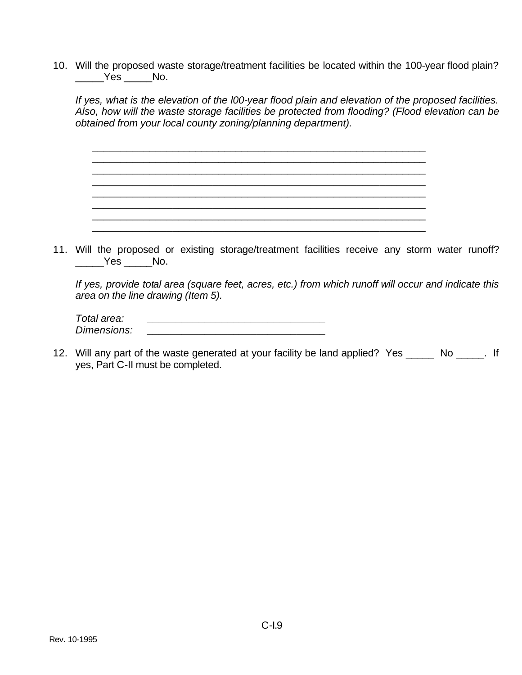10. Will the proposed waste storage/treatment facilities be located within the 100-year flood plain?  $Yes$  No.

*If yes, what is the elevation of the l00-year flood plain and elevation of the proposed facilities. Also, how will the waste storage facilities be protected from flooding? (Flood elevation can be obtained from your local county zoning/planning department).*

\_\_\_\_\_\_\_\_\_\_\_\_\_\_\_\_\_\_\_\_\_\_\_\_\_\_\_\_\_\_\_\_\_\_\_\_\_\_\_\_\_\_\_\_\_\_\_\_\_\_\_\_\_\_\_\_\_\_ \_\_\_\_\_\_\_\_\_\_\_\_\_\_\_\_\_\_\_\_\_\_\_\_\_\_\_\_\_\_\_\_\_\_\_\_\_\_\_\_\_\_\_\_\_\_\_\_\_\_\_\_\_\_\_\_\_\_ \_\_\_\_\_\_\_\_\_\_\_\_\_\_\_\_\_\_\_\_\_\_\_\_\_\_\_\_\_\_\_\_\_\_\_\_\_\_\_\_\_\_\_\_\_\_\_\_\_\_\_\_\_\_\_\_\_\_

\_\_\_\_\_\_\_\_\_\_\_\_\_\_\_\_\_\_\_\_\_\_\_\_\_\_\_\_\_\_\_\_\_\_\_\_\_\_\_\_\_\_\_\_\_\_\_\_\_\_\_\_\_\_\_\_\_\_

\_\_\_\_\_\_\_\_\_\_\_\_\_\_\_\_\_\_\_\_\_\_\_\_\_\_\_\_\_\_\_\_\_\_\_\_\_\_\_\_\_\_\_\_\_\_\_\_\_\_\_\_\_\_\_\_\_\_

11. Will the proposed or existing storage/treatment facilities receive any storm water runoff?  $Yes$  No.

*If yes, provide total area (square feet, acres, etc.) from which runoff will occur and indicate this area on the line drawing (Item 5).*

| Total area: |  |
|-------------|--|
| Dimensions: |  |

12. Will any part of the waste generated at your facility be land applied? Yes \_\_\_\_\_\_ No \_\_\_\_\_. If yes, Part C-II must be completed.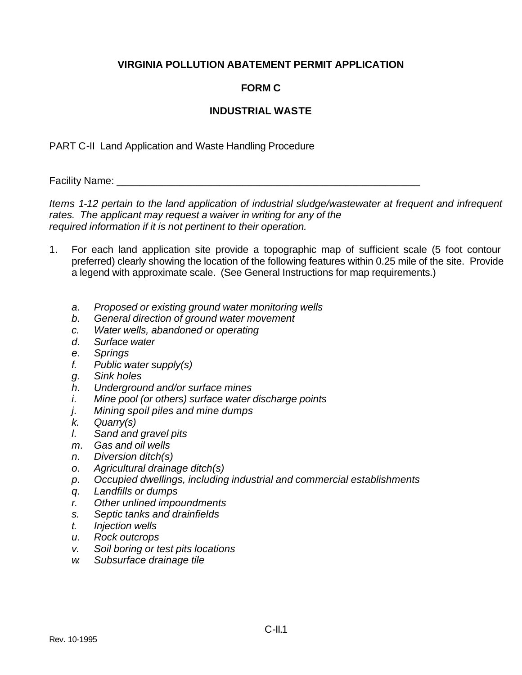# **VIRGINIA POLLUTION ABATEMENT PERMIT APPLICATION**

# **FORM C**

# **INDUSTRIAL WASTE**

PART C-II Land Application and Waste Handling Procedure

Facility Name: \_\_\_\_\_\_\_\_\_\_\_\_\_\_\_\_\_\_\_\_\_\_\_\_\_\_\_\_\_\_\_\_\_\_\_\_\_\_\_\_\_\_\_\_\_\_\_\_\_\_\_\_\_

*Items 1-12 pertain to the land application of industrial sludge/wastewater at frequent and infrequent rates. The applicant may request a waiver in writing for any of the required information if it is not pertinent to their operation.*

- 1. For each land application site provide a topographic map of sufficient scale (5 foot contour preferred) clearly showing the location of the following features within 0.25 mile of the site. Provide a legend with approximate scale. (See General Instructions for map requirements.)
	- *a. Proposed or existing ground water monitoring wells*
	- *b. General direction of ground water movement*
	- *c. Water wells, abandoned or operating*
	- *d. Surface water*
	- *e. Springs*
	- *f. Public water supply(s)*
	- *g. Sink holes*
	- *h. Underground and/or surface mines*
	- *i. Mine pool (or others) surface water discharge points*
	- *j. Mining spoil piles and mine dumps*
	- *k. Quarry(s)*
	- *l. Sand and gravel pits*
	- *m. Gas and oil wells*
	- *n. Diversion ditch(s)*
	- *o. Agricultural drainage ditch(s)*
	- *p. Occupied dwellings, including industrial and commercial establishments*
	- *q. Landfills or dumps*
	- *r. Other unlined impoundments*
	- *s. Septic tanks and drainfields*
	- *t. Injection wells*
	- *u. Rock outcrops*
	- *v. Soil boring or test pits locations*
	- *w. Subsurface drainage tile*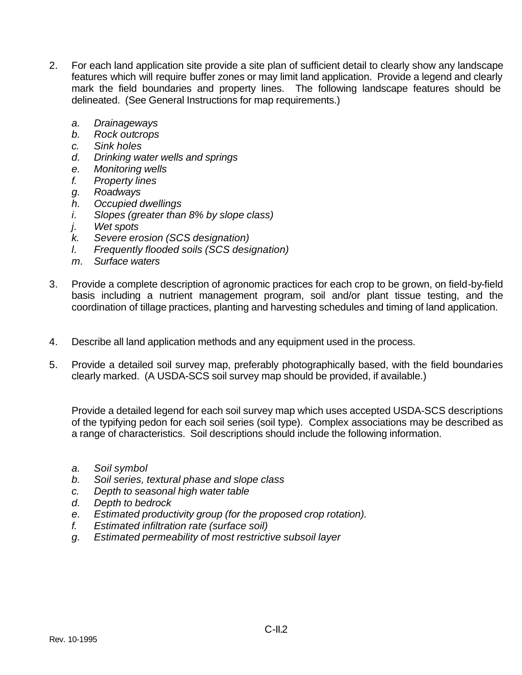- 2. For each land application site provide a site plan of sufficient detail to clearly show any landscape features which will require buffer zones or may limit land application. Provide a legend and clearly mark the field boundaries and property lines. The following landscape features should be delineated. (See General Instructions for map requirements.)
	- *a. Drainageways*
	- *b. Rock outcrops*
	- *c. Sink holes*
	- *d. Drinking water wells and springs*
	- *e. Monitoring wells*
	- *f. Property lines*
	- *g. Roadways*
	- *h. Occupied dwellings*
	- *i. Slopes (greater than 8% by slope class)*
	- *j. Wet spots*
	- *k. Severe erosion (SCS designation)*
	- *l. Frequently flooded soils (SCS designation)*
	- *m. Surface waters*
- 3. Provide a complete description of agronomic practices for each crop to be grown, on field-by-field basis including a nutrient management program, soil and/or plant tissue testing, and the coordination of tillage practices, planting and harvesting schedules and timing of land application.
- 4. Describe all land application methods and any equipment used in the process.
- 5. Provide a detailed soil survey map, preferably photographically based, with the field boundaries clearly marked. (A USDA-SCS soil survey map should be provided, if available.)

Provide a detailed legend for each soil survey map which uses accepted USDA-SCS descriptions of the typifying pedon for each soil series (soil type). Complex associations may be described as a range of characteristics. Soil descriptions should include the following information.

- *a. Soil symbol*
- *b. Soil series, textural phase and slope class*
- *c. Depth to seasonal high water table*
- *d. Depth to bedrock*
- *e. Estimated productivity group (for the proposed crop rotation).*
- *f. Estimated infiltration rate (surface soil)*
- *g. Estimated permeability of most restrictive subsoil layer*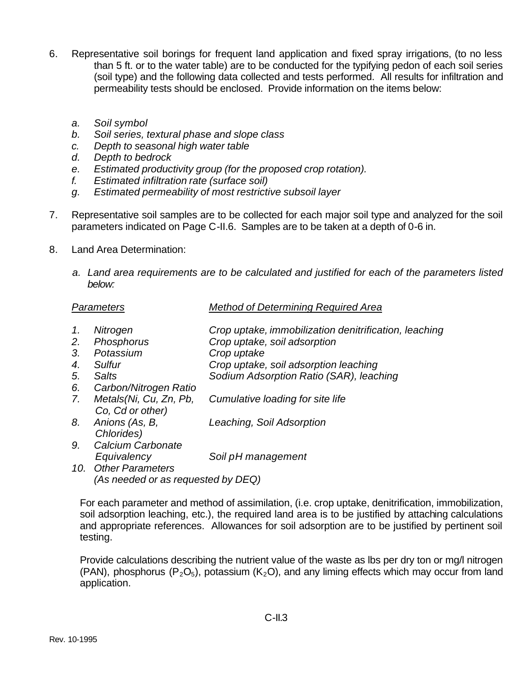- 6. Representative soil borings for frequent land application and fixed spray irrigations, (to no less than 5 ft. or to the water table) are to be conducted for the typifying pedon of each soil series (soil type) and the following data collected and tests performed. All results for infiltration and permeability tests should be enclosed. Provide information on the items below:
	- *a. Soil symbol*
	- *b. Soil series, textural phase and slope class*
	- *c. Depth to seasonal high water table*
	- *d. Depth to bedrock*
	- *e. Estimated productivity group (for the proposed crop rotation).*
	- *f. Estimated infiltration rate (surface soil)*
	- *g. Estimated permeability of most restrictive subsoil layer*
- 7. Representative soil samples are to be collected for each major soil type and analyzed for the soil parameters indicated on Page C-II.6. Samples are to be taken at a depth of 0-6 in.
- 8. Land Area Determination:
	- *a. Land area requirements are to be calculated and justified for each of the parameters listed below:*

*Parameters Method of Determining Required Area*

- *1. Nitrogen Crop uptake, immobilization denitrification, leaching*
- *2. Phosphorus Crop uptake, soil adsorption*
- *3. Potassium Crop uptake*
- *4. Sulfur Crop uptake, soil adsorption leaching*
- *5. Salts Sodium Adsorption Ratio (SAR), leaching*
- *6. Carbon/Nitrogen Ratio*
- *7. Metals(Ni, Cu, Zn, Pb, Cumulative loading for site life Co, Cd or other)*
- *8. Anions (As, B, Leaching, Soil Adsorption*
- *Chlorides) 9. Calcium Carbonate Equivalency Soil pH management*
- *10. Other Parameters (As needed or as requested by DEQ)*

For each parameter and method of assimilation, (i.e. crop uptake, denitrification, immobilization, soil adsorption leaching, etc.), the required land area is to be justified by attaching calculations and appropriate references. Allowances for soil adsorption are to be justified by pertinent soil testing.

Provide calculations describing the nutrient value of the waste as lbs per dry ton or mg/l nitrogen (PAN), phosphorus ( $P_2O_5$ ), potassium ( $K_2O$ ), and any liming effects which may occur from land application.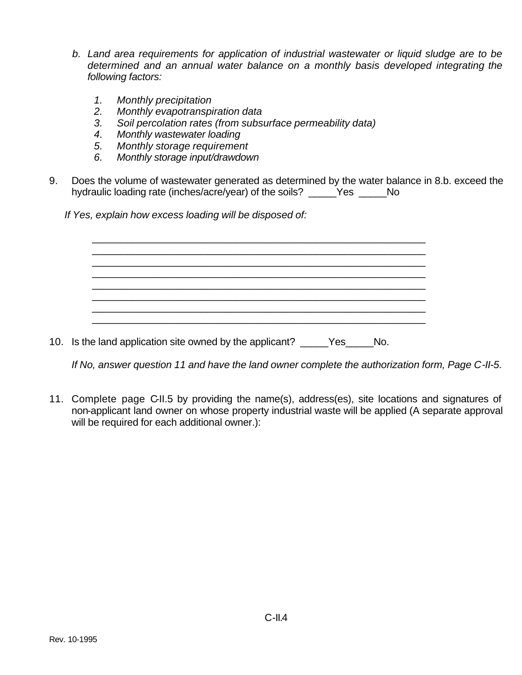- *b. Land area requirements for application of industrial wastewater or liquid sludge are to be determined and an annual water balance on a monthly basis developed integrating the following factors:*
	- *1. Monthly precipitation*
	- *2. Monthly evapotranspiration data*
	- *3. Soil percolation rates (from subsurface permeability data)*
	- *4. Monthly wastewater loading*
	- *5. Monthly storage requirement*
	- *6. Monthly storage input/drawdown*
- 9. Does the volume of wastewater generated as determined by the water balance in 8.b. exceed the hydraulic loading rate (inches/acre/year) of the soils? \_\_\_\_\_Yes \_\_\_\_\_No

\_\_\_\_\_\_\_\_\_\_\_\_\_\_\_\_\_\_\_\_\_\_\_\_\_\_\_\_\_\_\_\_\_\_\_\_\_\_\_\_\_\_\_\_\_\_\_\_\_\_\_\_\_\_\_\_\_\_ \_\_\_\_\_\_\_\_\_\_\_\_\_\_\_\_\_\_\_\_\_\_\_\_\_\_\_\_\_\_\_\_\_\_\_\_\_\_\_\_\_\_\_\_\_\_\_\_\_\_\_\_\_\_\_\_\_\_

\_\_\_\_\_\_\_\_\_\_\_\_\_\_\_\_\_\_\_\_\_\_\_\_\_\_\_\_\_\_\_\_\_\_\_\_\_\_\_\_\_\_\_\_\_\_\_\_\_\_\_\_\_\_\_\_\_\_ \_\_\_\_\_\_\_\_\_\_\_\_\_\_\_\_\_\_\_\_\_\_\_\_\_\_\_\_\_\_\_\_\_\_\_\_\_\_\_\_\_\_\_\_\_\_\_\_\_\_\_\_\_\_\_\_\_\_ \_\_\_\_\_\_\_\_\_\_\_\_\_\_\_\_\_\_\_\_\_\_\_\_\_\_\_\_\_\_\_\_\_\_\_\_\_\_\_\_\_\_\_\_\_\_\_\_\_\_\_\_\_\_\_\_\_\_

 *If Yes, explain how excess loading will be disposed of:*

10. Is the land application site owned by the applicant? \_\_\_\_\_Yes\_\_\_\_\_No.

*If No, answer question 11 and have the land owner complete the authorization form, Page C-II-5.*

11. Complete page C-II.5 by providing the name(s), address(es), site locations and signatures of non-applicant land owner on whose property industrial waste will be applied (A separate approval will be required for each additional owner.):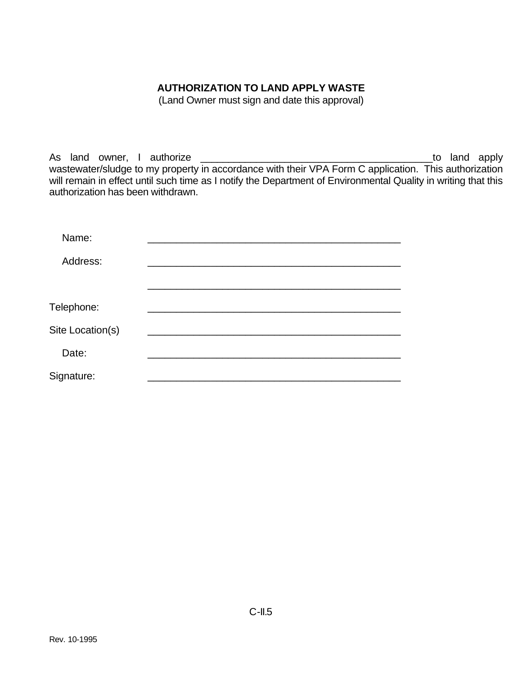## **AUTHORIZATION TO LAND APPLY WASTE**

(Land Owner must sign and date this approval)

As land owner, I authorize \_\_\_\_\_\_\_\_\_\_\_\_\_\_\_\_\_\_\_\_\_\_\_\_\_\_\_\_\_\_\_\_\_\_\_\_\_\_\_\_\_to land apply wastewater/sludge to my property in accordance with their VPA Form C application. This authorization will remain in effect until such time as I notify the Department of Environmental Quality in writing that this authorization has been withdrawn.

| Name:            |  |
|------------------|--|
| Address:         |  |
|                  |  |
| Telephone:       |  |
| Site Location(s) |  |
| Date:            |  |
| Signature:       |  |